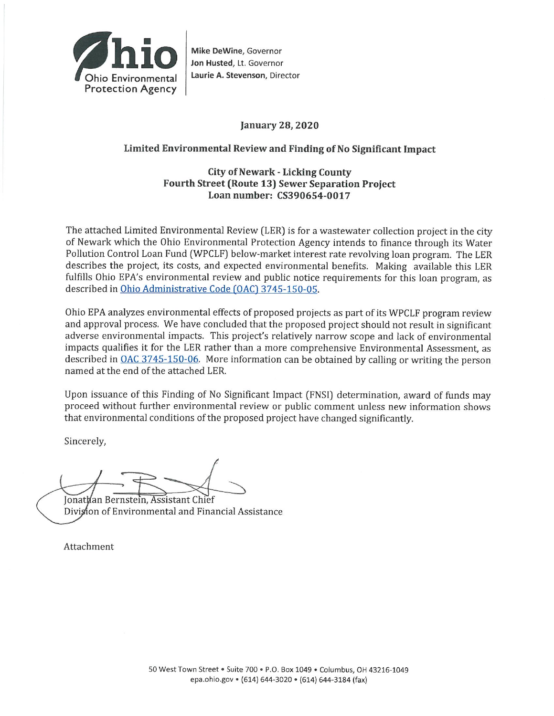

Mike DeWine, Governor Jon Husted, Lt. Governor Laurie A. Stevenson, Director

### **January 28, 2020**

### Limited Environmental Review and Finding of No Significant Impact

### **City of Newark - Licking County Fourth Street (Route 13) Sewer Separation Project** Loan number: CS390654-0017

The attached Limited Environmental Review (LER) is for a wastewater collection project in the city of Newark which the Ohio Environmental Protection Agency intends to finance through its Water Pollution Control Loan Fund (WPCLF) below-market interest rate revolving loan program. The LER describes the project, its costs, and expected environmental benefits. Making available this LER fulfills Ohio EPA's environmental review and public notice requirements for this loan program, as described in Ohio Administrative Code (OAC) 3745-150-05.

Ohio EPA analyzes environmental effects of proposed projects as part of its WPCLF program review and approval process. We have concluded that the proposed project should not result in significant adverse environmental impacts. This project's relatively narrow scope and lack of environmental impacts qualifies it for the LER rather than a more comprehensive Environmental Assessment, as described in OAC 3745-150-06. More information can be obtained by calling or writing the person named at the end of the attached LER.

Upon issuance of this Finding of No Significant Impact (FNSI) determination, award of funds may proceed without further environmental review or public comment unless new information shows that environmental conditions of the proposed project have changed significantly.

Sincerely,

Jonathan Bernstein, Assistant Chief Division of Environmental and Financial Assistance

Attachment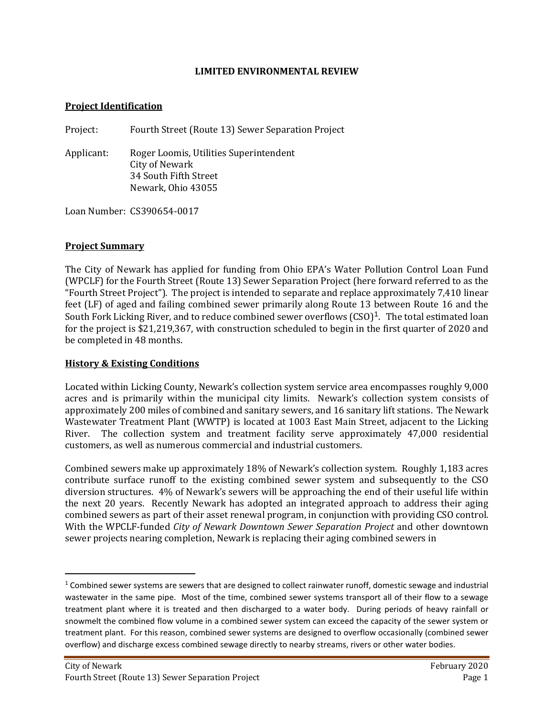#### **LIMITED ENVIRONMENTAL REVIEW**

### **Project Identification**

Project: Fourth Street (Route 13) Sewer Separation Project

Applicant: Roger Loomis, Utilities Superintendent City of Newark 34 South Fifth Street Newark, Ohio 43055

Loan Number: CS390654-0017

### **Project Summary**

The City of Newark has applied for funding from Ohio EPA's Water Pollution Control Loan Fund (WPCLF) for the Fourth Street (Route 13) Sewer Separation Project (here forward referred to as the "Fourth Street Project"). The project is intended to separate and replace approximately 7,410 linear feet (LF) of aged and failing combined sewer primarily along Route 13 between Route 16 and the South Fork Licking River, and to reduce combined sewer overflows  $(CSO)^1$  $(CSO)^1$ . The total estimated loan for the project is \$21,219,367, with construction scheduled to begin in the first quarter of 2020 and be completed in 48 months.

### **History & Existing Conditions**

Located within Licking County, Newark's collection system service area encompasses roughly 9,000 acres and is primarily within the municipal city limits. Newark's collection system consists of approximately 200 miles of combined and sanitary sewers, and 16 sanitary lift stations. The Newark Wastewater Treatment Plant (WWTP) is located at 1003 East Main Street, adjacent to the Licking River. The collection system and treatment facility serve approximately 47,000 residential customers, as well as numerous commercial and industrial customers.

Combined sewers make up approximately 18% of Newark's collection system. Roughly 1,183 acres contribute surface runoff to the existing combined sewer system and subsequently to the CSO diversion structures. 4% of Newark's sewers will be approaching the end of their useful life within the next 20 years. Recently Newark has adopted an integrated approach to address their aging combined sewers as part of their asset renewal program, in conjunction with providing CSO control. With the WPCLF-funded *City of Newark Downtown Sewer Separation Project* and other downtown sewer projects nearing completion, Newark is replacing their aging combined sewers in

<span id="page-1-0"></span> $1$  Combined sewer systems are sewers that are designed to collect rainwater runoff, domestic sewage and industrial wastewater in the same pipe. Most of the time, combined sewer systems transport all of their flow to a sewage treatment plant where it is treated and then discharged to a water body. During periods of heavy rainfall or snowmelt the combined flow volume in a combined sewer system can exceed the capacity of the sewer system or treatment plant. For this reason, combined sewer systems are designed to overflow occasionally (combined sewer overflow) and discharge excess combined sewage directly to nearby streams, rivers or other water bodies.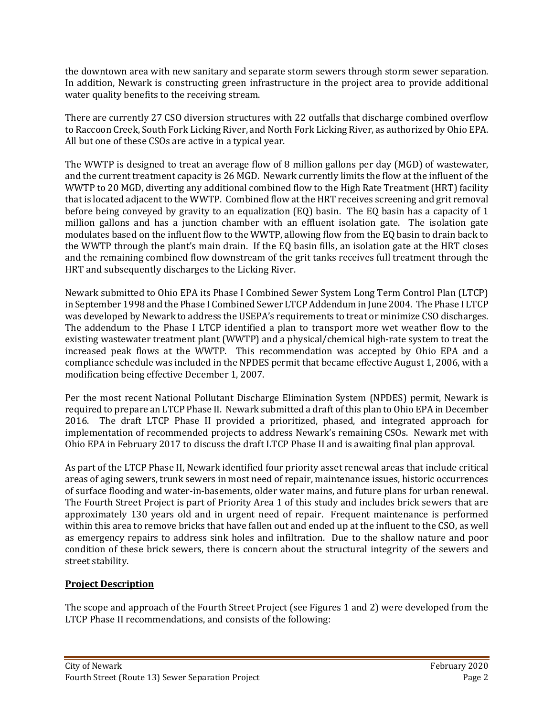the downtown area with new sanitary and separate storm sewers through storm sewer separation. In addition, Newark is constructing green infrastructure in the project area to provide additional water quality benefits to the receiving stream.

There are currently 27 CSO diversion structures with 22 outfalls that discharge combined overflow to Raccoon Creek, South Fork Licking River, and North Fork Licking River, as authorized by Ohio EPA. All but one of these CSOs are active in a typical year.

The WWTP is designed to treat an average flow of 8 million gallons per day (MGD) of wastewater, and the current treatment capacity is 26 MGD. Newark currently limits the flow at the influent of the WWTP to 20 MGD, diverting any additional combined flow to the High Rate Treatment (HRT) facility that is located adjacent to the WWTP. Combined flow at the HRT receives screening and grit removal before being conveyed by gravity to an equalization (EQ) basin. The EQ basin has a capacity of 1 million gallons and has a junction chamber with an effluent isolation gate. The isolation gate modulates based on the influent flow to the WWTP, allowing flow from the EQ basin to drain back to the WWTP through the plant's main drain. If the EQ basin fills, an isolation gate at the HRT closes and the remaining combined flow downstream of the grit tanks receives full treatment through the HRT and subsequently discharges to the Licking River.

Newark submitted to Ohio EPA its Phase I Combined Sewer System Long Term Control Plan (LTCP) in September 1998 and the Phase I Combined Sewer LTCP Addendum in June 2004. The Phase I LTCP was developed by Newark to address the USEPA's requirements to treat or minimize CSO discharges. The addendum to the Phase I LTCP identified a plan to transport more wet weather flow to the existing wastewater treatment plant (WWTP) and a physical/chemical high-rate system to treat the increased peak flows at the WWTP. This recommendation was accepted by Ohio EPA and a compliance schedule was included in the NPDES permit that became effective August 1, 2006, with a modification being effective December 1, 2007.

Per the most recent National Pollutant Discharge Elimination System (NPDES) permit, Newark is required to prepare an LTCP Phase II. Newark submitted a draft of this plan to Ohio EPA in December 2016. The draft LTCP Phase II provided a prioritized, phased, and integrated approach for implementation of recommended projects to address Newark's remaining CSOs. Newark met with Ohio EPA in February 2017 to discuss the draft LTCP Phase II and is awaiting final plan approval.

As part of the LTCP Phase II, Newark identified four priority asset renewal areas that include critical areas of aging sewers, trunk sewers in most need of repair, maintenance issues, historic occurrences of surface flooding and water-in-basements, older water mains, and future plans for urban renewal. The Fourth Street Project is part of Priority Area 1 of this study and includes brick sewers that are approximately 130 years old and in urgent need of repair. Frequent maintenance is performed within this area to remove bricks that have fallen out and ended up at the influent to the CSO, as well as emergency repairs to address sink holes and infiltration. Due to the shallow nature and poor condition of these brick sewers, there is concern about the structural integrity of the sewers and street stability.

# **Project Description**

The scope and approach of the Fourth Street Project (see Figures 1 and 2) were developed from the LTCP Phase II recommendations, and consists of the following: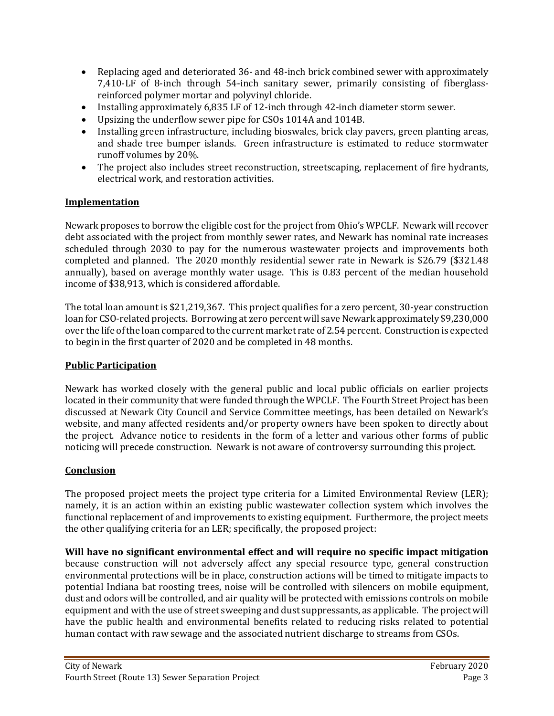- Replacing aged and deteriorated 36- and 48-inch brick combined sewer with approximately 7,410-LF of 8-inch through 54-inch sanitary sewer, primarily consisting of fiberglassreinforced polymer mortar and polyvinyl chloride.
- Installing approximately 6,835 LF of 12-inch through 42-inch diameter storm sewer.
- Upsizing the underflow sewer pipe for CSOs 1014A and 1014B.
- Installing green infrastructure, including bioswales, brick clay pavers, green planting areas, and shade tree bumper islands. Green infrastructure is estimated to reduce stormwater runoff volumes by 20%.
- The project also includes street reconstruction, streetscaping, replacement of fire hydrants, electrical work, and restoration activities.

# **Implementation**

Newark proposes to borrow the eligible cost for the project from Ohio's WPCLF. Newark will recover debt associated with the project from monthly sewer rates, and Newark has nominal rate increases scheduled through 2030 to pay for the numerous wastewater projects and improvements both completed and planned. The 2020 monthly residential sewer rate in Newark is \$26.79 (\$321.48 annually), based on average monthly water usage. This is 0.83 percent of the median household income of \$38,913, which is considered affordable.

The total loan amount is \$21,219,367. This project qualifies for a zero percent, 30-year construction loan for CSO-related projects. Borrowing at zero percent will save Newark approximately \$9,230,000 over the life of the loan compared to the current market rate of 2.54 percent. Construction is expected to begin in the first quarter of 2020 and be completed in 48 months.

### **Public Participation**

Newark has worked closely with the general public and local public officials on earlier projects located in their community that were funded through the WPCLF. The Fourth Street Project has been discussed at Newark City Council and Service Committee meetings, has been detailed on Newark's website, and many affected residents and/or property owners have been spoken to directly about the project. Advance notice to residents in the form of a letter and various other forms of public noticing will precede construction. Newark is not aware of controversy surrounding this project.

# **Conclusion**

The proposed project meets the project type criteria for a Limited Environmental Review (LER); namely, it is an action within an existing public wastewater collection system which involves the functional replacement of and improvements to existing equipment. Furthermore, the project meets the other qualifying criteria for an LER; specifically, the proposed project:

**Will have no significant environmental effect and will require no specific impact mitigation** because construction will not adversely affect any special resource type, general construction environmental protections will be in place, construction actions will be timed to mitigate impacts to potential Indiana bat roosting trees, noise will be controlled with silencers on mobile equipment, dust and odors will be controlled, and air quality will be protected with emissions controls on mobile equipment and with the use of street sweeping and dust suppressants, as applicable. The project will have the public health and environmental benefits related to reducing risks related to potential human contact with raw sewage and the associated nutrient discharge to streams from CSOs.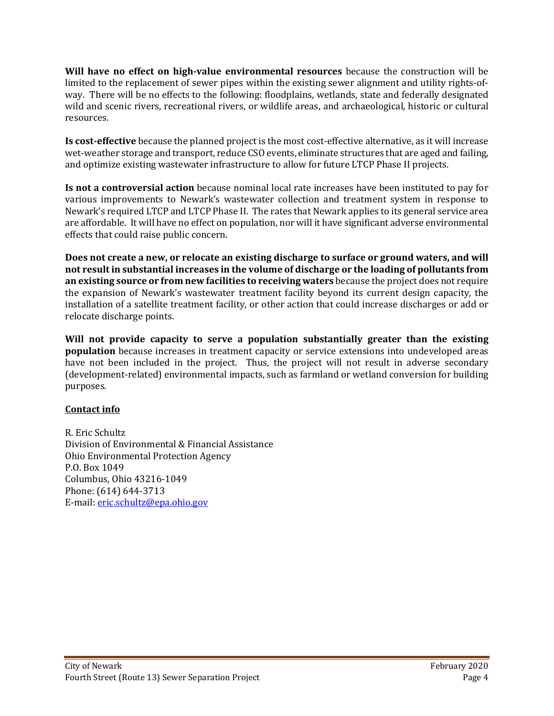**Will have no effect on high-value environmental resources** because the construction will be limited to the replacement of sewer pipes within the existing sewer alignment and utility rights-ofway. There will be no effects to the following: floodplains, wetlands, state and federally designated wild and scenic rivers, recreational rivers, or wildlife areas, and archaeological, historic or cultural resources.

**Is cost-effective** because the planned project is the most cost-effective alternative, as it will increase wet-weather storage and transport, reduce CSO events, eliminate structures that are aged and failing, and optimize existing wastewater infrastructure to allow for future LTCP Phase II projects.

**Is not a controversial action** because nominal local rate increases have been instituted to pay for various improvements to Newark's wastewater collection and treatment system in response to Newark's required LTCP and LTCP Phase II. The rates that Newark applies to its general service area are affordable. It will have no effect on population, nor will it have significant adverse environmental effects that could raise public concern.

**Does not create a new, or relocate an existing discharge to surface or ground waters, and will not result in substantial increases in the volume of discharge or the loading of pollutants from an existing source or from new facilities to receiving waters** because the project does not require the expansion of Newark's wastewater treatment facility beyond its current design capacity, the installation of a satellite treatment facility, or other action that could increase discharges or add or relocate discharge points.

**Will not provide capacity to serve a population substantially greater than the existing population** because increases in treatment capacity or service extensions into undeveloped areas have not been included in the project. Thus, the project will not result in adverse secondary (development-related) environmental impacts, such as farmland or wetland conversion for building purposes.

# **Contact info**

R. Eric Schultz Division of Environmental & Financial Assistance Ohio Environmental Protection Agency P.O. Box 1049 Columbus, Ohio 43216-1049 Phone: (614) 644-3713 E-mail: [eric.schultz@epa.ohio.gov](mailto:eric.schultz@epa.ohio.gov)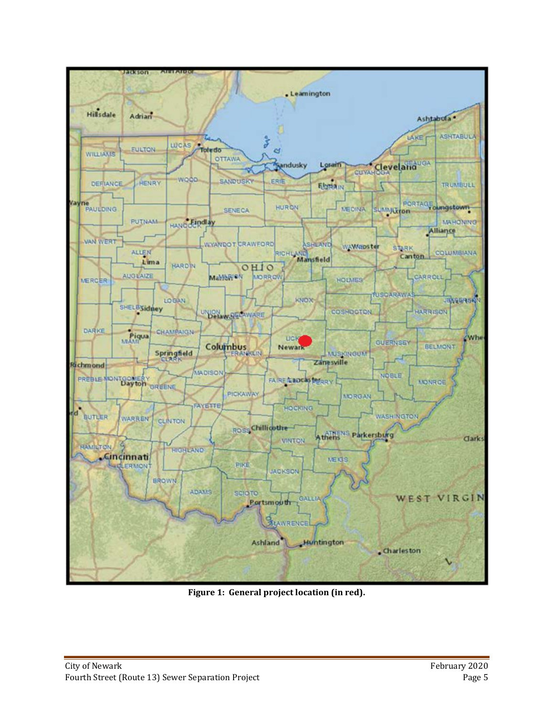

**Figure 1: General project location (in red).**